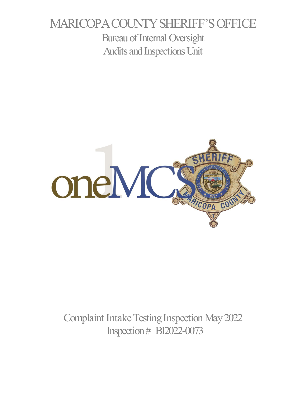# MARICOPA COUNTY SHERIFF'S OFFICE Bureau of Internal Oversight Audits and Inspections Unit



Complaint Intake Testing Inspection May 2022 Inspection # BI2022-0073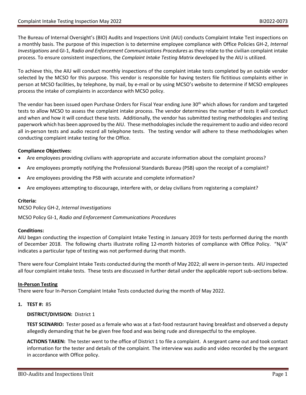The Bureau of Internal Oversight's (BIO) Audits and Inspections Unit (AIU) conducts Complaint Intake Test inspections on a monthly basis. The purpose of this inspection is to determine employee compliance with Office Policies GH-2, *Internal Investigations* and GI-1, *Radio and Enforcement Communications Procedures* as they relate to the civilian complaint intake process. To ensure consistent inspections, the *Complaint Intake Testing Matrix* developed by the AIU is utilized.

To achieve this, the AIU will conduct monthly inspections of the complaint intake tests completed by an outside vendor selected by the MCSO for this purpose. This vendor is responsible for having testers file fictitious complaints either in person at MCSO facilities, by telephone, by mail, by e-mail or by using MCSO's website to determine if MCSO employees process the intake of complaints in accordance with MCSO policy.

The vendor has been issued open Purchase Orders for Fiscal Year ending June 30<sup>th</sup> which allows for random and targeted tests to allow MCSO to assess the complaint intake process. The vendor determines the number of tests it will conduct and when and how it will conduct these tests. Additionally, the vendor has submitted testing methodologies and testing paperwork which has been approved by the AIU. These methodologies include the requirement to audio and video record all in-person tests and audio record all telephone tests. The testing vendor will adhere to these methodologies when conducting complaint intake testing for the Office.

## **Compliance Objectives:**

- Are employees providing civilians with appropriate and accurate information about the complaint process?
- Are employees promptly notifying the Professional Standards Bureau (PSB) upon the receipt of a complaint?
- Are employees providing the PSB with accurate and complete information?
- Are employees attempting to discourage, interfere with, or delay civilians from registering a complaint?

## **Criteria:**

MCSO Policy GH-2, *Internal Investigations*

MCSO Policy GI-1, *Radio and Enforcement Communications Procedures*

## **Conditions:**

AIU began conducting the inspection of Complaint Intake Testing in January 2019 for tests performed during the month of December 2018. The following charts illustrate rolling 12-month histories of compliance with Office Policy. "N/A" indicates a particular type of testing was not performed during that month.

There were four Complaint Intake Tests conducted during the month of May 2022; all were in-person tests. AIU inspected all four complaint intake tests. These tests are discussed in further detail under the applicable report sub-sections below.

## **In-Person Testing**

There were four In-Person Complaint Intake Tests conducted during the month of May 2022.

## **1. TEST #:** 85

**DISTRICT/DIVISION:** District 1

**TEST SCENARIO:** Tester posed as a female who was at a fast-food restaurant having breakfast and observed a deputy allegedly demanding that he be given free food and was being rude and disrespectful to the employee.

**ACTIONS TAKEN:** The tester went to the office of District 1 to file a complaint. A sergeant came out and took contact information for the tester and details of the complaint. The interview was audio and video recorded by the sergeant in accordance with Office policy.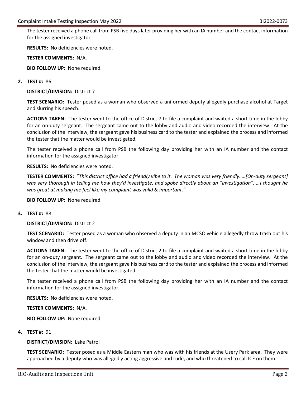The tester received a phone call from PSB five days later providing her with an IA number and the contact information for the assigned investigator.

**RESULTS:** No deficiencies were noted.

**TESTER COMMENTS:** N/A.

**BIO FOLLOW UP:** None required.

#### **2. TEST #:** 86

**DISTRICT/DIVISION:** District 7

**TEST SCENARIO:** Tester posed as a woman who observed a uniformed deputy allegedly purchase alcohol at Target and slurring his speech.

**ACTIONS TAKEN:** The tester went to the office of District 7 to file a complaint and waited a short time in the lobby for an on-duty sergeant. The sergeant came out to the lobby and audio and video recorded the interview. At the conclusion of the interview, the sergeant gave his business card to the tester and explained the process and informed the tester that the matter would be investigated.

The tester received a phone call from PSB the following day providing her with an IA number and the contact information for the assigned investigator.

**RESULTS:** No deficiencies were noted.

**TESTER COMMENTS:** "*This district office had a friendly vibe to it*. *The woman was very friendly. …[On-duty sergeant] was very thorough in telling me how they'd investigate, and spoke directly about an "investigation". …I thought he was great at making me feel like my complaint was valid & important."*

**BIO FOLLOW UP:** None required.

#### **3. TEST #:** 88

**DISTRICT/DIVISION:** District 2

**TEST SCENARIO:** Tester posed as a woman who observed a deputy in an MCSO vehicle allegedly throw trash out his window and then drive off.

**ACTIONS TAKEN:** The tester went to the office of District 2 to file a complaint and waited a short time in the lobby for an on-duty sergeant. The sergeant came out to the lobby and audio and video recorded the interview. At the conclusion of the interview, the sergeant gave his business card to the tester and explained the process and informed the tester that the matter would be investigated.

The tester received a phone call from PSB the following day providing her with an IA number and the contact information for the assigned investigator.

**RESULTS:** No deficiencies were noted.

**TESTER COMMENTS:** N/A.

**BIO FOLLOW UP:** None required.

#### **4. TEST #:** 91

**DISTRICT/DIVISION:** Lake Patrol

**TEST SCENARIO:** Tester posed as a Middle Eastern man who was with his friends at the Usery Park area. They were approached by a deputy who was allegedly acting aggressive and rude, and who threatened to call ICE on them.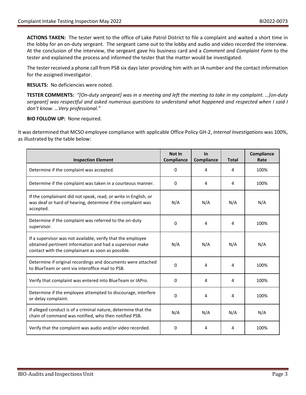**ACTIONS TAKEN:** The tester went to the office of Lake Patrol District to file a complaint and waited a short time in the lobby for an on-duty sergeant. The sergeant came out to the lobby and audio and video recorded the interview. At the conclusion of the interview, the sergeant gave his business card and a *Comment and Complaint Form* to the tester and explained the process and informed the tester that the matter would be investigated.

The tester received a phone call from PSB six days later providing him with an IA number and the contact information for the assigned investigator.

**RESULTS:** No deficiencies were noted.

**TESTER COMMENTS:** *"[On-duty sergeant] was in a meeting and left the meeting to take in my complaint. …[on-duty sergeant] was respectful and asked numerous questions to understand what happened and respected when I said I don't know. …Very professional."*

**BIO FOLLOW UP:** None required.

It was determined that MCSO employee compliance with applicable Office Policy GH-2, *Internal Investigations* was 100%, as illustrated by the table below:

| <b>Inspection Element</b>                                                                                                                                                    | Not In<br>Compliance | $\ln$<br>Compliance | <b>Total</b> | Compliance<br>Rate |
|------------------------------------------------------------------------------------------------------------------------------------------------------------------------------|----------------------|---------------------|--------------|--------------------|
| Determine if the complaint was accepted.                                                                                                                                     | 0                    | 4                   | 4            | 100%               |
| Determine if the complaint was taken in a courteous manner.                                                                                                                  | 0                    | 4                   | 4            | 100%               |
| If the complainant did not speak, read, or write in English, or<br>was deaf or hard of hearing, determine if the complaint was<br>accepted.                                  | N/A                  | N/A                 | N/A          | N/A                |
| Determine if the complaint was referred to the on-duty<br>supervisor.                                                                                                        | 0                    | 4                   | 4            | 100%               |
| If a supervisor was not available, verify that the employee<br>obtained pertinent information and had a supervisor make<br>contact with the complainant as soon as possible. | N/A                  | N/A                 | N/A          | N/A                |
| Determine if original recordings and documents were attached<br>to BlueTeam or sent via interoffice mail to PSB.                                                             | 0                    | 4                   | 4            | 100%               |
| Verify that complaint was entered into BlueTeam or IAPro.                                                                                                                    | 0                    | 4                   | 4            | 100%               |
| Determine if the employee attempted to discourage, interfere<br>or delay complaint.                                                                                          | 0                    | 4                   | 4            | 100%               |
| If alleged conduct is of a criminal nature, determine that the<br>chain of command was notified, who then notified PSB.                                                      | N/A                  | N/A                 | N/A          | N/A                |
| Verify that the complaint was audio and/or video recorded.                                                                                                                   | 0                    | 4                   | 4            | 100%               |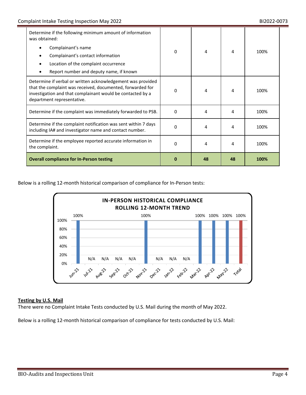| Determine if the following minimum amount of information<br>was obtained:                                                                                                                                             |   |    |    |      |
|-----------------------------------------------------------------------------------------------------------------------------------------------------------------------------------------------------------------------|---|----|----|------|
| Complainant's name                                                                                                                                                                                                    | 0 | 4  | 4  | 100% |
| Complainant's contact information                                                                                                                                                                                     |   |    |    |      |
| Location of the complaint occurrence                                                                                                                                                                                  |   |    |    |      |
| Report number and deputy name, if known                                                                                                                                                                               |   |    |    |      |
| Determine if verbal or written acknowledgement was provided<br>that the complaint was received, documented, forwarded for<br>investigation and that complainant would be contacted by a<br>department representative. | 0 | 4  | 4  | 100% |
| Determine if the complaint was immediately forwarded to PSB.                                                                                                                                                          | 0 | 4  | 4  | 100% |
| Determine if the complaint notification was sent within 7 days<br>including IA# and investigator name and contact number.                                                                                             | 0 | 4  | 4  | 100% |
| Determine if the employee reported accurate information in<br>the complaint.                                                                                                                                          | 0 | 4  | 4  | 100% |
| <b>Overall compliance for In-Person testing</b>                                                                                                                                                                       | Ω | 48 | 48 | 100% |

Below is a rolling 12-month historical comparison of compliance for In-Person tests:



## **Testing by U.S. Mail**

There were no Complaint Intake Tests conducted by U.S. Mail during the month of May 2022.

Below is a rolling 12-month historical comparison of compliance for tests conducted by U.S. Mail: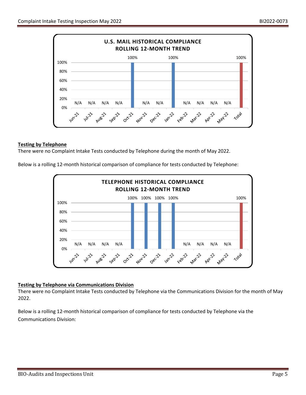

#### **Testing by Telephone**

There were no Complaint Intake Tests conducted by Telephone during the month of May 2022.

Below is a rolling 12-month historical comparison of compliance for tests conducted by Telephone:



## **Testing by Telephone via Communications Division**

There were no Complaint Intake Tests conducted by Telephone via the Communications Division for the month of May 2022.

Below is a rolling 12-month historical comparison of compliance for tests conducted by Telephone via the Communications Division: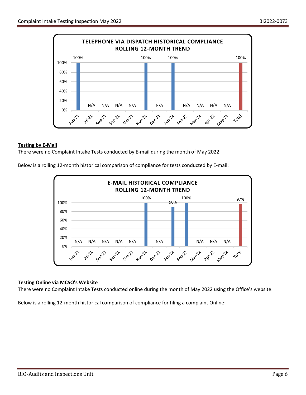

#### **Testing by E-Mail**

There were no Complaint Intake Tests conducted by E-mail during the month of May 2022.

Below is a rolling 12-month historical comparison of compliance for tests conducted by E-mail:



#### **Testing Online via MCSO's Website**

There were no Complaint Intake Tests conducted online during the month of May 2022 using the Office's website.

Below is a rolling 12-month historical comparison of compliance for filing a complaint Online: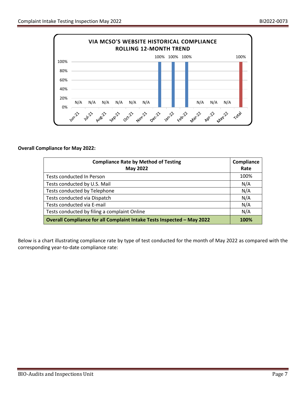

#### **Overall Compliance for May 2022:**

| <b>Compliance Rate by Method of Testing</b><br><b>May 2022</b>         | Compliance<br>Rate |
|------------------------------------------------------------------------|--------------------|
| Tests conducted In Person                                              | 100%               |
| Tests conducted by U.S. Mail                                           | N/A                |
| Tests conducted by Telephone                                           | N/A                |
| Tests conducted via Dispatch                                           | N/A                |
| Tests conducted via E-mail                                             | N/A                |
| Tests conducted by filing a complaint Online                           | N/A                |
| Overall Compliance for all Complaint Intake Tests Inspected - May 2022 | 100%               |

Below is a chart illustrating compliance rate by type of test conducted for the month of May 2022 as compared with the corresponding year-to-date compliance rate: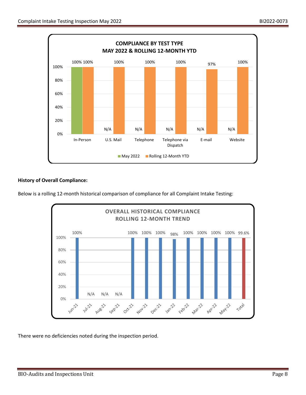

# **History of Overall Compliance:**

Below is a rolling 12-month historical comparison of compliance for all Complaint Intake Testing:



There were no deficiencies noted during the inspection period.